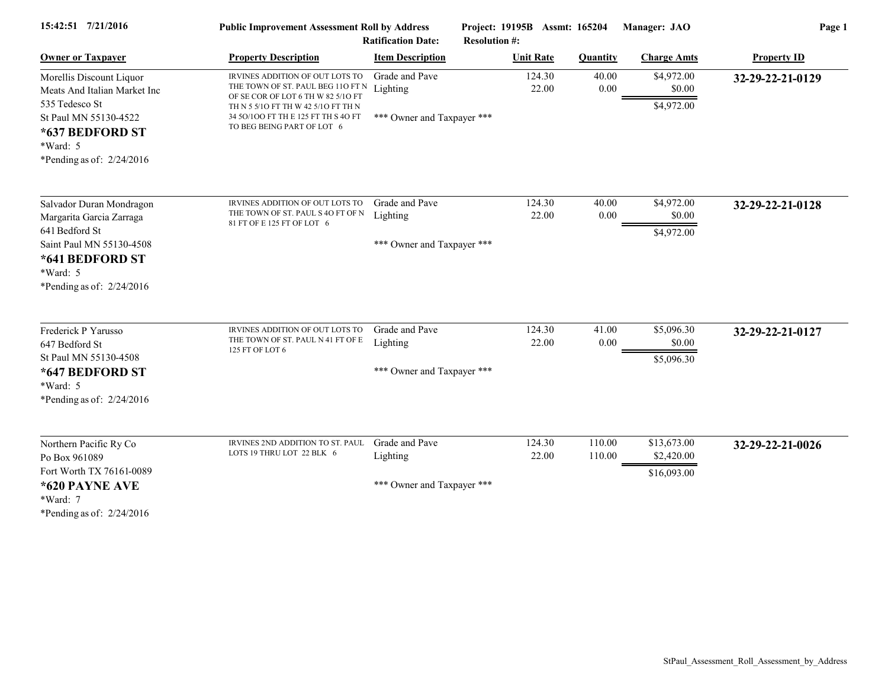| 15:42:51 7/21/2016                                                                                       | <b>Public Improvement Assessment Roll by Address</b><br><b>Ratification Date:</b>                                                                 |                            | Project: 19195B Assmt: 165204<br><b>Resolution #:</b> |                  | Manager: JAO                       | Page 1             |  |
|----------------------------------------------------------------------------------------------------------|---------------------------------------------------------------------------------------------------------------------------------------------------|----------------------------|-------------------------------------------------------|------------------|------------------------------------|--------------------|--|
| <b>Owner or Taxpayer</b>                                                                                 | <b>Property Description</b>                                                                                                                       | <b>Item Description</b>    | <b>Unit Rate</b>                                      | <b>Quantity</b>  | <b>Charge Amts</b>                 | <b>Property ID</b> |  |
| Morellis Discount Liquor<br>Meats And Italian Market Inc<br>535 Tedesco St                               | IRVINES ADDITION OF OUT LOTS TO<br>THE TOWN OF ST. PAUL BEG 110 FT N<br>OF SE COR OF LOT 6 TH W 82 5/10 FT<br>TH N 5 5/10 FT TH W 42 5/10 FT TH N | Grade and Pave<br>Lighting | 124.30<br>22.00                                       | 40.00<br>0.00    | \$4,972.00<br>\$0.00<br>\$4,972.00 | 32-29-22-21-0129   |  |
| St Paul MN 55130-4522<br>*637 BEDFORD ST<br>*Ward: 5<br>*Pending as of: $2/24/2016$                      | 34 50/100 FT TH E 125 FT TH S 40 FT<br>TO BEG BEING PART OF LOT 6                                                                                 | *** Owner and Taxpayer *** |                                                       |                  |                                    |                    |  |
| Salvador Duran Mondragon<br>Margarita Garcia Zarraga                                                     | IRVINES ADDITION OF OUT LOTS TO<br>THE TOWN OF ST. PAUL S 4O FT OF N<br>81 FT OF E 125 FT OF LOT 6                                                | Grade and Pave<br>Lighting | 124.30<br>22.00                                       | 40.00<br>0.00    | \$4,972.00<br>\$0.00               | 32-29-22-21-0128   |  |
| 641 Bedford St<br>Saint Paul MN 55130-4508<br>*641 BEDFORD ST<br>*Ward: 5<br>*Pending as of: $2/24/2016$ |                                                                                                                                                   | *** Owner and Taxpayer *** |                                                       |                  | \$4,972.00                         |                    |  |
| Frederick P Yarusso                                                                                      | IRVINES ADDITION OF OUT LOTS TO                                                                                                                   | Grade and Pave             | 124.30                                                | 41.00            | \$5,096.30                         | 32-29-22-21-0127   |  |
| 647 Bedford St<br>St Paul MN 55130-4508                                                                  | THE TOWN OF ST. PAUL N 41 FT OF E<br>125 FT OF LOT 6                                                                                              | Lighting                   | 22.00                                                 | 0.00             | \$0.00<br>\$5,096.30               |                    |  |
| *647 BEDFORD ST<br>$*Ward: 5$<br>*Pending as of: $2/24/2016$                                             |                                                                                                                                                   | *** Owner and Taxpayer *** |                                                       |                  |                                    |                    |  |
| Northern Pacific Ry Co<br>Po Box 961089                                                                  | IRVINES 2ND ADDITION TO ST. PAUL<br>LOTS 19 THRU LOT 22 BLK 6                                                                                     | Grade and Pave<br>Lighting | 124.30<br>22.00                                       | 110.00<br>110.00 | \$13,673.00<br>\$2,420.00          | 32-29-22-21-0026   |  |
| Fort Worth TX 76161-0089<br>*620 PAYNE AVE                                                               |                                                                                                                                                   | *** Owner and Taxpayer *** |                                                       |                  | \$16,093.00                        |                    |  |
| *Ward: 7<br>*Pending as of: $2/24/2016$                                                                  |                                                                                                                                                   |                            |                                                       |                  |                                    |                    |  |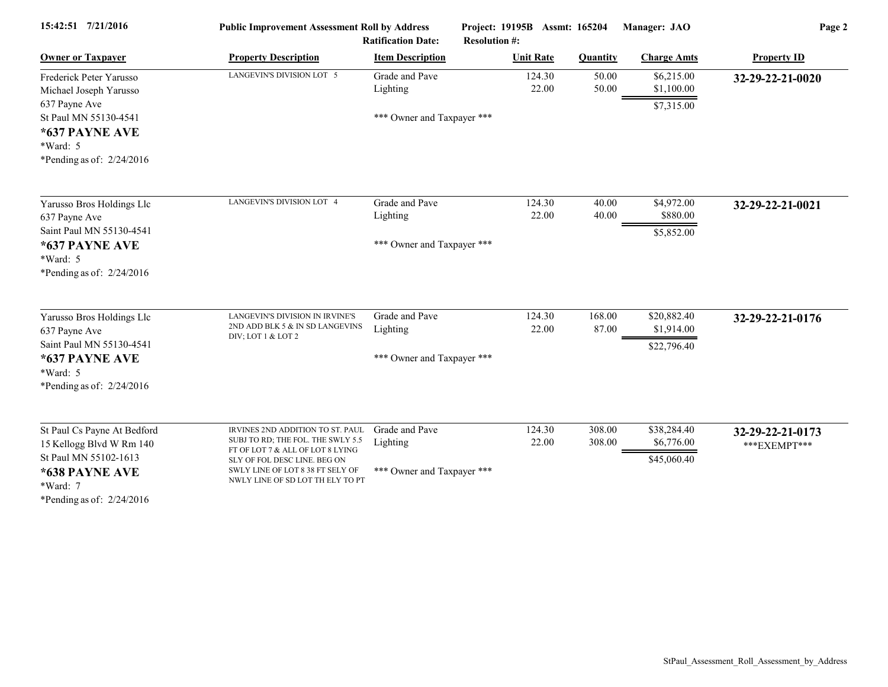| 15:42:51 7/21/2016                                                                                                                            | <b>Public Improvement Assessment Roll by Address</b><br><b>Ratification Date:</b>                                                                                                                                 |                                                          | Project: 19195B Assmt: 165204<br><b>Resolution #:</b> |                  | Manager: JAO                             | Page 2                           |  |
|-----------------------------------------------------------------------------------------------------------------------------------------------|-------------------------------------------------------------------------------------------------------------------------------------------------------------------------------------------------------------------|----------------------------------------------------------|-------------------------------------------------------|------------------|------------------------------------------|----------------------------------|--|
| <b>Owner or Taxpayer</b>                                                                                                                      | <b>Property Description</b>                                                                                                                                                                                       | <b>Item Description</b>                                  | <b>Unit Rate</b>                                      | <b>Quantity</b>  | <b>Charge Amts</b>                       | <b>Property ID</b>               |  |
| Frederick Peter Yarusso<br>Michael Joseph Yarusso                                                                                             | LANGEVIN'S DIVISION LOT 5                                                                                                                                                                                         | Grade and Pave<br>Lighting                               | 124.30<br>22.00                                       | 50.00<br>50.00   | \$6,215.00<br>\$1,100.00                 | 32-29-22-21-0020                 |  |
| 637 Payne Ave<br>St Paul MN 55130-4541<br>*637 PAYNE AVE<br>$*Ward: 5$<br>*Pending as of: $2/24/2016$                                         |                                                                                                                                                                                                                   | *** Owner and Taxpayer ***                               |                                                       |                  | \$7,315.00                               |                                  |  |
| Yarusso Bros Holdings Llc<br>637 Payne Ave<br>Saint Paul MN 55130-4541                                                                        | LANGEVIN'S DIVISION LOT 4                                                                                                                                                                                         | Grade and Pave<br>Lighting                               | 124.30<br>22.00                                       | 40.00<br>40.00   | \$4,972.00<br>\$880.00<br>\$5,852.00     | 32-29-22-21-0021                 |  |
| *637 PAYNE AVE<br>*Ward: 5<br>*Pending as of: $2/24/2016$                                                                                     |                                                                                                                                                                                                                   | *** Owner and Taxpayer ***                               |                                                       |                  |                                          |                                  |  |
| Yarusso Bros Holdings Llc<br>637 Payne Ave<br>Saint Paul MN 55130-4541<br>*637 PAYNE AVE<br>*Ward: 5<br>*Pending as of: $2/24/2016$           | LANGEVIN'S DIVISION IN IRVINE'S<br>2ND ADD BLK 5 $\&$ IN SD LANGEVINS<br>DIV; LOT 1 & LOT 2                                                                                                                       | Grade and Pave<br>Lighting<br>*** Owner and Taxpayer *** | 124.30<br>22.00                                       | 168.00<br>87.00  | \$20,882.40<br>\$1,914.00<br>\$22,796.40 | 32-29-22-21-0176                 |  |
| St Paul Cs Payne At Bedford<br>15 Kellogg Blvd W Rm 140<br>St Paul MN 55102-1613<br>*638 PAYNE AVE<br>*Ward: 7<br>*Pending as of: $2/24/2016$ | IRVINES 2ND ADDITION TO ST. PAUL<br>SUBJ TO RD; THE FOL. THE SWLY 5.5<br>FT OF LOT 7 & ALL OF LOT 8 LYING<br>SLY OF FOL DESC LINE. BEG ON<br>SWLY LINE OF LOT 8 38 FT SELY OF<br>NWLY LINE OF SD LOT TH ELY TO PT | Grade and Pave<br>Lighting<br>*** Owner and Taxpayer *** | 124.30<br>22.00                                       | 308.00<br>308.00 | \$38,284.40<br>\$6,776.00<br>\$45,060.40 | 32-29-22-21-0173<br>***EXEMPT*** |  |